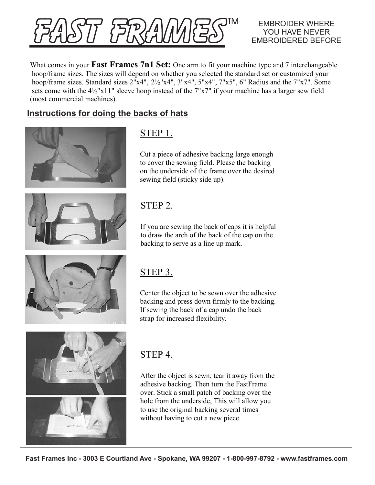|4/27/4|<br>|האארי

#### EMBROIDER WHERE YOU HAVE NEVER EMBROIDERED BEFORE

What comes in your **Fast Frames 7n1 Set:** One arm to fit your machine type and 7 interchangeable hoop/frame sizes. The sizes will depend on whether you selected the standard set or customized your hoop/frame sizes. Standard sizes 2"x4", 2½"x4", 3"x4", 5"x4", 7"x5", 6" Radius and the 7"x7". Some sets come with the 4½"x11" sleeve hoop instead of the 7"x7" if your machine has a larger sew field (most commercial machines).

### **Instructions for doing the backs of hats**





## STEP 1.

Cut a piece of adhesive backing large enough to cover the sewing field. Please the backing on the underside of the frame over the desired sewing field (sticky side up).

## STEP 2.

If you are sewing the back of caps it is helpful to draw the arch of the back of the cap on the backing to serve as a line up mark.



# STEP 3.

Center the object to be sewn over the adhesive backing and press down firmly to the backing. If sewing the back of a cap undo the back strap for increased flexibility.



# STEP 4.

After the object is sewn, tear it away from the adhesive backing. Then turn the FastFrame over. Stick a small patch of backing over the hole from the underside, This will allow you to use the original backing several times without having to cut a new piece.